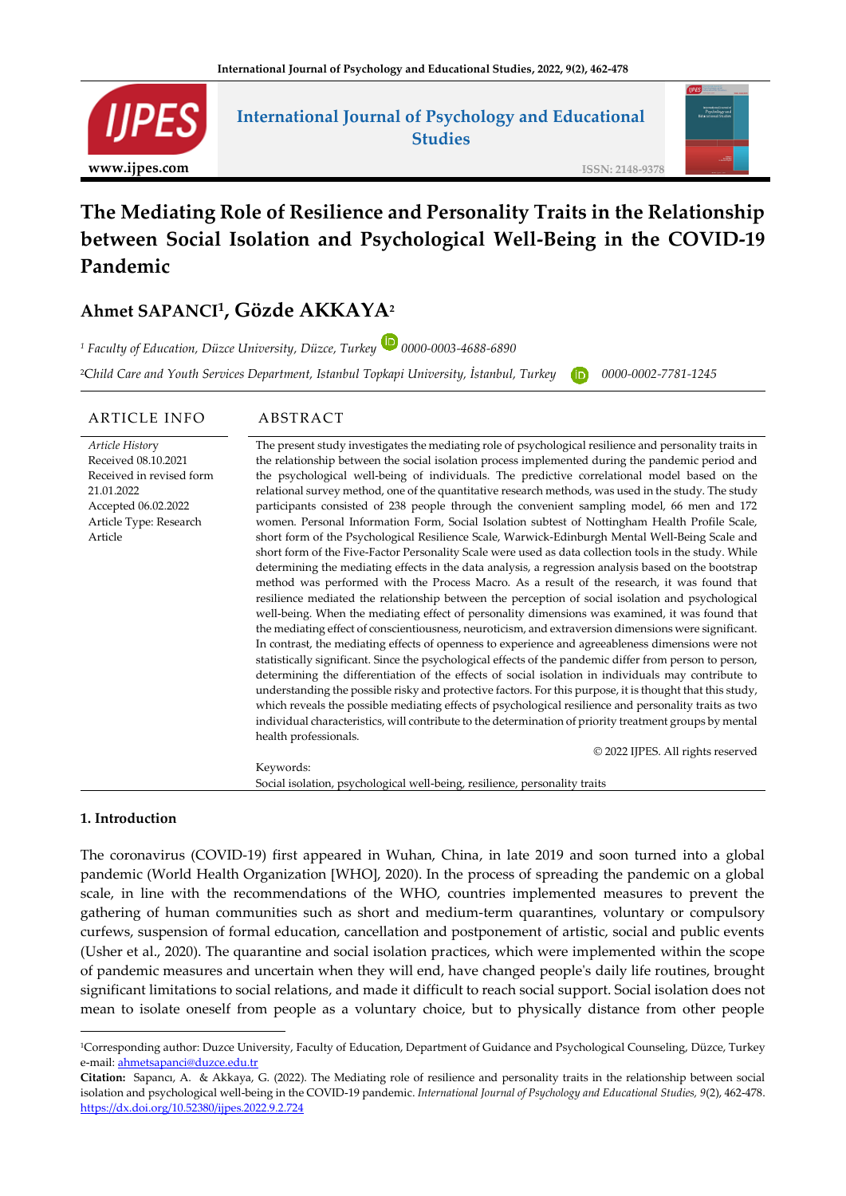

# **International Journal of Psychology and Educational Studies**

**ISSN: 2148-9378**

# **The Mediating Role of Resilience and Personality Traits in the Relationship between Social Isolation and Psychological Well-Being in the COVID-19 Pandemic**

# **Ahmet SAPANCI<sup>1</sup> , Gözde AKKAYA<sup>2</sup>**

*<sup>1</sup> Faculty of Education, Düzce University, Düzce, Turkey 0000-0003-4688-6890* <sup>2</sup>C*hild Care and Youth Services Department, Istanbul Topkapi University, İstanbul, Turkey 0000-0002-7781-1245*

#### ARTICLE INFO ABSTRACT *Article Histor*y Received 08.10.2021 Received in revised form 21.01.2022 Accepted 06.02.2022 Article Type: Research Article The present study investigates the mediating role of psychological resilience and personality traits in the relationship between the social isolation process implemented during the pandemic period and the psychological well-being of individuals. The predictive correlational model based on the relational survey method, one of the quantitative research methods, was used in the study. The study participants consisted of 238 people through the convenient sampling model, 66 men and 172 women. Personal Information Form, Social Isolation subtest of Nottingham Health Profile Scale, short form of the Psychological Resilience Scale, Warwick-Edinburgh Mental Well-Being Scale and short form of the Five-Factor Personality Scale were used as data collection tools in the study. While determining the mediating effects in the data analysis, a regression analysis based on the bootstrap method was performed with the Process Macro. As a result of the research, it was found that resilience mediated the relationship between the perception of social isolation and psychological well-being. When the mediating effect of personality dimensions was examined, it was found that the mediating effect of conscientiousness, neuroticism, and extraversion dimensions were significant. In contrast, the mediating effects of openness to experience and agreeableness dimensions were not statistically significant. Since the psychological effects of the pandemic differ from person to person, determining the differentiation of the effects of social isolation in individuals may contribute to understanding the possible risky and protective factors. For this purpose, it is thought that this study, which reveals the possible mediating effects of psychological resilience and personality traits as two individual characteristics, will contribute to the determination of priority treatment groups by mental health professionals. © 2022 IJPES. All rights reserved Keywords:

Social isolation, psychological well-being, resilience, personality traits

#### **1. Introduction**

The coronavirus (COVID-19) first appeared in Wuhan, China, in late 2019 and soon turned into a global pandemic (World Health Organization [WHO], 2020). In the process of spreading the pandemic on a global scale, in line with the recommendations of the WHO, countries implemented measures to prevent the gathering of human communities such as short and medium-term quarantines, voluntary or compulsory curfews, suspension of formal education, cancellation and postponement of artistic, social and public events (Usher et al., 2020). The quarantine and social isolation practices, which were implemented within the scope of pandemic measures and uncertain when they will end, have changed people's daily life routines, brought significant limitations to social relations, and made it difficult to reach social support. Social isolation does not mean to isolate oneself from people as a voluntary choice, but to physically distance from other people

<sup>1</sup>Corresponding author: Duzce University, Faculty of Education, Department of Guidance and Psychological Counseling, Düzce, Turkey e-mail: [ahmetsapanci@duzce.edu.tr](mailto:ahmetsapanci@duzce.edu.tr)

**Citation:** Sapancı, A. & Akkaya, G. (2022). The Mediating role of resilience and personality traits in the relationship between social isolation and psychological well-being in the COVID-19 pandemic. *International Journal of Psychology and Educational Studies, 9*(2), 462-478. <https://dx.doi.org/10.52380/ijpes.2022.9.2.724>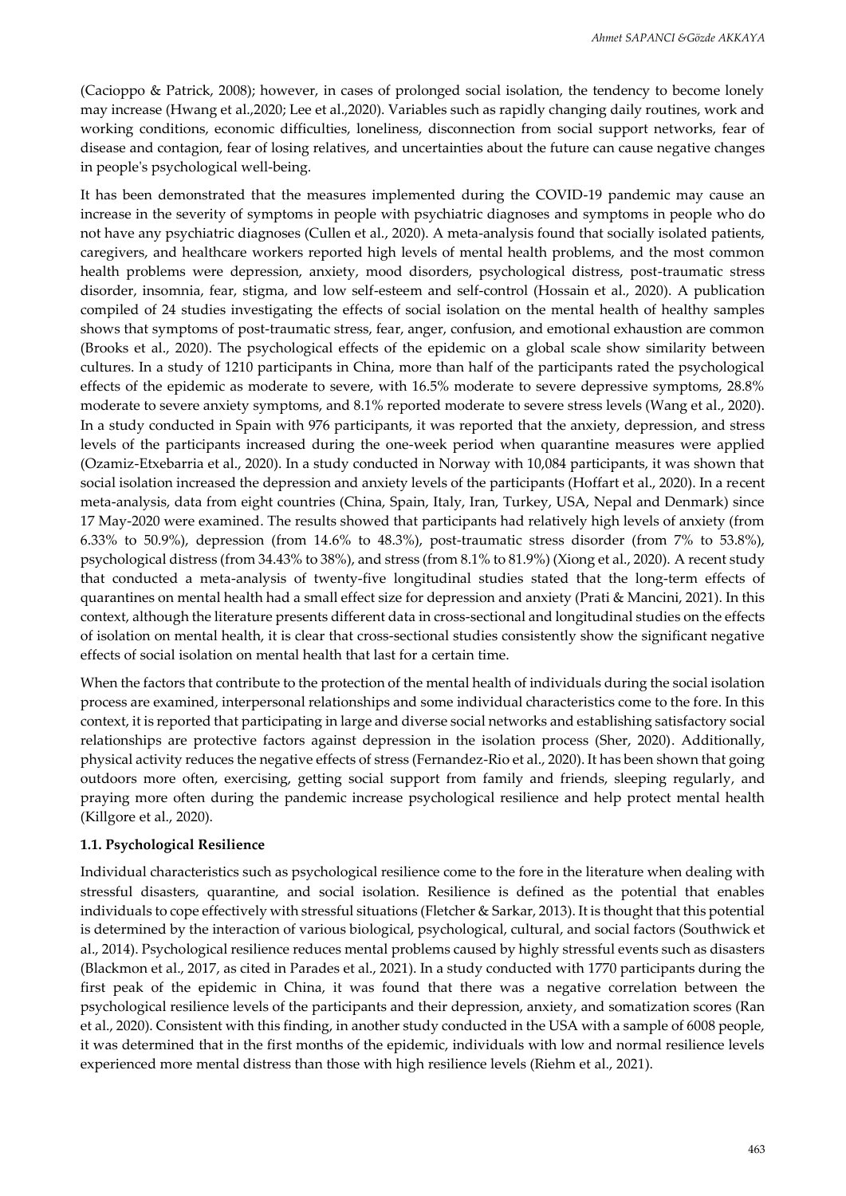(Cacioppo & Patrick, 2008); however, in cases of prolonged social isolation, the tendency to become lonely may increase (Hwang et al.,2020; Lee et al.,2020). Variables such as rapidly changing daily routines, work and working conditions, economic difficulties, loneliness, disconnection from social support networks, fear of disease and contagion, fear of losing relatives, and uncertainties about the future can cause negative changes in people's psychological well-being.

It has been demonstrated that the measures implemented during the COVID-19 pandemic may cause an increase in the severity of symptoms in people with psychiatric diagnoses and symptoms in people who do not have any psychiatric diagnoses (Cullen et al., 2020). A meta-analysis found that socially isolated patients, caregivers, and healthcare workers reported high levels of mental health problems, and the most common health problems were depression, anxiety, mood disorders, psychological distress, post-traumatic stress disorder, insomnia, fear, stigma, and low self-esteem and self-control (Hossain et al., 2020). A publication compiled of 24 studies investigating the effects of social isolation on the mental health of healthy samples shows that symptoms of post-traumatic stress, fear, anger, confusion, and emotional exhaustion are common (Brooks et al., 2020). The psychological effects of the epidemic on a global scale show similarity between cultures. In a study of 1210 participants in China, more than half of the participants rated the psychological effects of the epidemic as moderate to severe, with 16.5% moderate to severe depressive symptoms, 28.8% moderate to severe anxiety symptoms, and 8.1% reported moderate to severe stress levels (Wang et al., 2020). In a study conducted in Spain with 976 participants, it was reported that the anxiety, depression, and stress levels of the participants increased during the one-week period when quarantine measures were applied (Ozamiz-Etxebarria et al., 2020). In a study conducted in Norway with 10,084 participants, it was shown that social isolation increased the depression and anxiety levels of the participants (Hoffart et al., 2020). In a recent meta-analysis, data from eight countries (China, Spain, Italy, Iran, Turkey, USA, Nepal and Denmark) since 17 May-2020 were examined. The results showed that participants had relatively high levels of anxiety (from 6.33% to 50.9%), depression (from 14.6% to 48.3%), post-traumatic stress disorder (from 7% to 53.8%), psychological distress (from 34.43% to 38%), and stress (from 8.1% to 81.9%) (Xiong et al., 2020). A recent study that conducted a meta-analysis of twenty-five longitudinal studies stated that the long-term effects of quarantines on mental health had a small effect size for depression and anxiety (Prati & Mancini, 2021). In this context, although the literature presents different data in cross-sectional and longitudinal studies on the effects of isolation on mental health, it is clear that cross-sectional studies consistently show the significant negative effects of social isolation on mental health that last for a certain time.

When the factors that contribute to the protection of the mental health of individuals during the social isolation process are examined, interpersonal relationships and some individual characteristics come to the fore. In this context, it is reported that participating in large and diverse social networks and establishing satisfactory social relationships are protective factors against depression in the isolation process (Sher, 2020). Additionally, physical activity reduces the negative effects of stress (Fernandez-Rio et al., 2020). It has been shown that going outdoors more often, exercising, getting social support from family and friends, sleeping regularly, and praying more often during the pandemic increase psychological resilience and help protect mental health (Killgore et al., 2020).

#### **1.1. Psychological Resilience**

Individual characteristics such as psychological resilience come to the fore in the literature when dealing with stressful disasters, quarantine, and social isolation. Resilience is defined as the potential that enables individuals to cope effectively with stressful situations (Fletcher & Sarkar, 2013). It is thought that this potential is determined by the interaction of various biological, psychological, cultural, and social factors (Southwick et al., 2014). Psychological resilience reduces mental problems caused by highly stressful events such as disasters (Blackmon et al., 2017, as cited in Parades et al., 2021). In a study conducted with 1770 participants during the first peak of the epidemic in China, it was found that there was a negative correlation between the psychological resilience levels of the participants and their depression, anxiety, and somatization scores (Ran et al., 2020). Consistent with this finding, in another study conducted in the USA with a sample of 6008 people, it was determined that in the first months of the epidemic, individuals with low and normal resilience levels experienced more mental distress than those with high resilience levels (Riehm et al., 2021).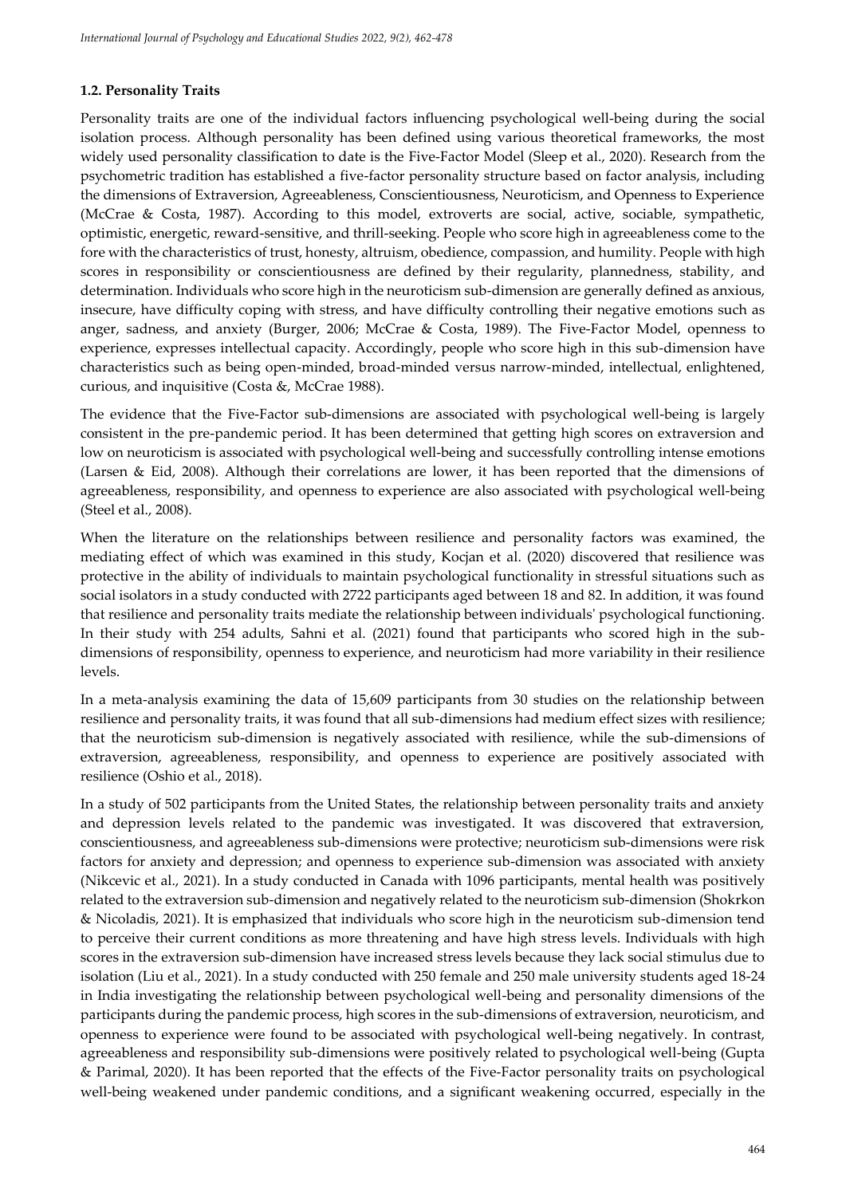# **1.2. Personality Traits**

Personality traits are one of the individual factors influencing psychological well-being during the social isolation process. Although personality has been defined using various theoretical frameworks, the most widely used personality classification to date is the Five-Factor Model (Sleep et al., 2020). Research from the psychometric tradition has established a five-factor personality structure based on factor analysis, including the dimensions of Extraversion, Agreeableness, Conscientiousness, Neuroticism, and Openness to Experience (McCrae & Costa, 1987). According to this model, extroverts are social, active, sociable, sympathetic, optimistic, energetic, reward-sensitive, and thrill-seeking. People who score high in agreeableness come to the fore with the characteristics of trust, honesty, altruism, obedience, compassion, and humility. People with high scores in responsibility or conscientiousness are defined by their regularity, plannedness, stability, and determination. Individuals who score high in the neuroticism sub-dimension are generally defined as anxious, insecure, have difficulty coping with stress, and have difficulty controlling their negative emotions such as anger, sadness, and anxiety (Burger, 2006; McCrae & Costa, 1989). The Five-Factor Model, openness to experience, expresses intellectual capacity. Accordingly, people who score high in this sub-dimension have characteristics such as being open-minded, broad-minded versus narrow-minded, intellectual, enlightened, curious, and inquisitive (Costa &, McCrae 1988).

The evidence that the Five-Factor sub-dimensions are associated with psychological well-being is largely consistent in the pre-pandemic period. It has been determined that getting high scores on extraversion and low on neuroticism is associated with psychological well-being and successfully controlling intense emotions (Larsen & Eid, 2008). Although their correlations are lower, it has been reported that the dimensions of agreeableness, responsibility, and openness to experience are also associated with psychological well-being (Steel et al., 2008).

When the literature on the relationships between resilience and personality factors was examined, the mediating effect of which was examined in this study, Kocjan et al. (2020) discovered that resilience was protective in the ability of individuals to maintain psychological functionality in stressful situations such as social isolators in a study conducted with 2722 participants aged between 18 and 82. In addition, it was found that resilience and personality traits mediate the relationship between individuals' psychological functioning. In their study with 254 adults, Sahni et al. (2021) found that participants who scored high in the subdimensions of responsibility, openness to experience, and neuroticism had more variability in their resilience levels.

In a meta-analysis examining the data of 15,609 participants from 30 studies on the relationship between resilience and personality traits, it was found that all sub-dimensions had medium effect sizes with resilience; that the neuroticism sub-dimension is negatively associated with resilience, while the sub-dimensions of extraversion, agreeableness, responsibility, and openness to experience are positively associated with resilience (Oshio et al., 2018).

In a study of 502 participants from the United States, the relationship between personality traits and anxiety and depression levels related to the pandemic was investigated. It was discovered that extraversion, conscientiousness, and agreeableness sub-dimensions were protective; neuroticism sub-dimensions were risk factors for anxiety and depression; and openness to experience sub-dimension was associated with anxiety (Nikcevic et al., 2021). In a study conducted in Canada with 1096 participants, mental health was positively related to the extraversion sub-dimension and negatively related to the neuroticism sub-dimension (Shokrkon & Nicoladis, 2021). It is emphasized that individuals who score high in the neuroticism sub-dimension tend to perceive their current conditions as more threatening and have high stress levels. Individuals with high scores in the extraversion sub-dimension have increased stress levels because they lack social stimulus due to isolation (Liu et al., 2021). In a study conducted with 250 female and 250 male university students aged 18-24 in India investigating the relationship between psychological well-being and personality dimensions of the participants during the pandemic process, high scores in the sub-dimensions of extraversion, neuroticism, and openness to experience were found to be associated with psychological well-being negatively. In contrast, agreeableness and responsibility sub-dimensions were positively related to psychological well-being (Gupta & Parimal, 2020). It has been reported that the effects of the Five-Factor personality traits on psychological well-being weakened under pandemic conditions, and a significant weakening occurred, especially in the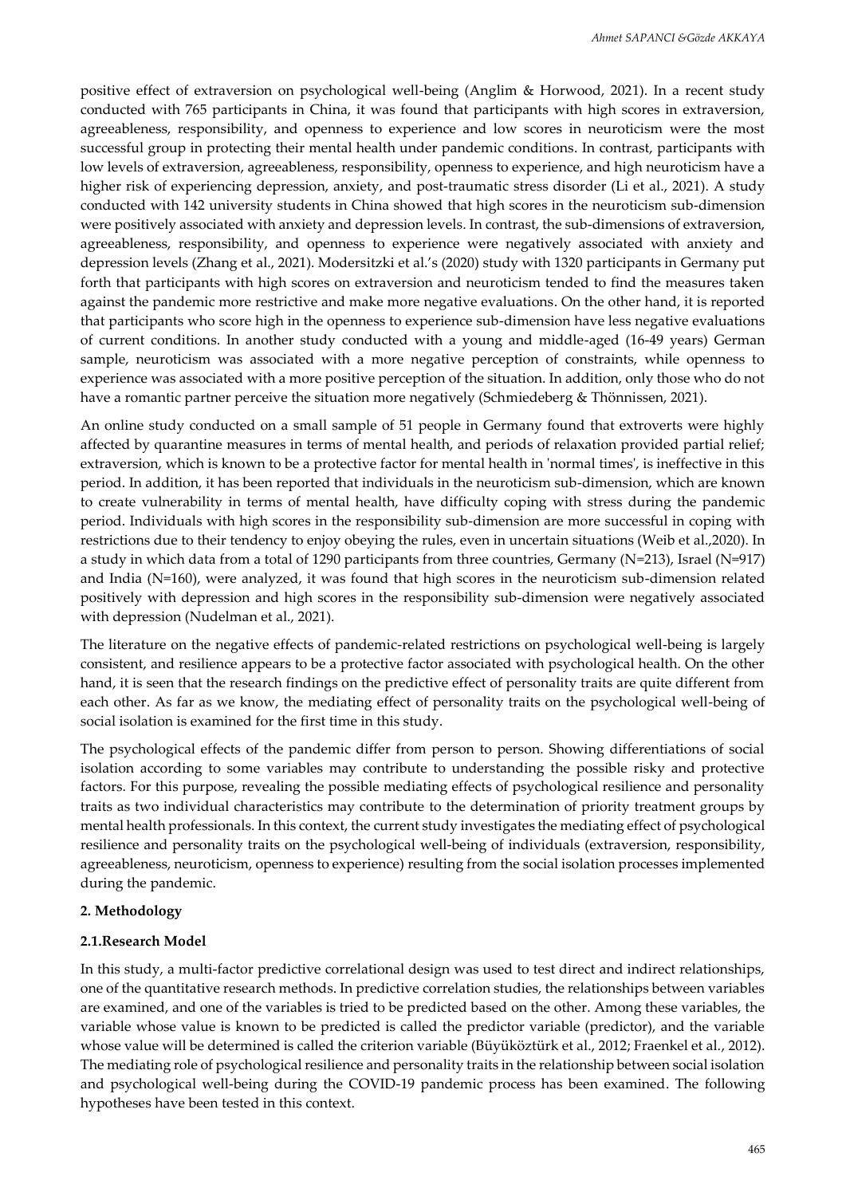positive effect of extraversion on psychological well-being (Anglim & Horwood, 2021). In a recent study conducted with 765 participants in China, it was found that participants with high scores in extraversion, agreeableness, responsibility, and openness to experience and low scores in neuroticism were the most successful group in protecting their mental health under pandemic conditions. In contrast, participants with low levels of extraversion, agreeableness, responsibility, openness to experience, and high neuroticism have a higher risk of experiencing depression, anxiety, and post-traumatic stress disorder (Li et al., 2021). A study conducted with 142 university students in China showed that high scores in the neuroticism sub-dimension were positively associated with anxiety and depression levels. In contrast, the sub-dimensions of extraversion, agreeableness, responsibility, and openness to experience were negatively associated with anxiety and depression levels (Zhang et al., 2021). Modersitzki et al.'s (2020) study with 1320 participants in Germany put forth that participants with high scores on extraversion and neuroticism tended to find the measures taken against the pandemic more restrictive and make more negative evaluations. On the other hand, it is reported that participants who score high in the openness to experience sub-dimension have less negative evaluations of current conditions. In another study conducted with a young and middle-aged (16-49 years) German sample, neuroticism was associated with a more negative perception of constraints, while openness to experience was associated with a more positive perception of the situation. In addition, only those who do not have a romantic partner perceive the situation more negatively (Schmiedeberg & Thönnissen, 2021).

An online study conducted on a small sample of 51 people in Germany found that extroverts were highly affected by quarantine measures in terms of mental health, and periods of relaxation provided partial relief; extraversion, which is known to be a protective factor for mental health in 'normal times', is ineffective in this period. In addition, it has been reported that individuals in the neuroticism sub-dimension, which are known to create vulnerability in terms of mental health, have difficulty coping with stress during the pandemic period. Individuals with high scores in the responsibility sub-dimension are more successful in coping with restrictions due to their tendency to enjoy obeying the rules, even in uncertain situations (Weib et al.,2020). In a study in which data from a total of 1290 participants from three countries, Germany (N=213), Israel (N=917) and India (N=160), were analyzed, it was found that high scores in the neuroticism sub-dimension related positively with depression and high scores in the responsibility sub-dimension were negatively associated with depression (Nudelman et al., 2021).

The literature on the negative effects of pandemic-related restrictions on psychological well-being is largely consistent, and resilience appears to be a protective factor associated with psychological health. On the other hand, it is seen that the research findings on the predictive effect of personality traits are quite different from each other. As far as we know, the mediating effect of personality traits on the psychological well-being of social isolation is examined for the first time in this study.

The psychological effects of the pandemic differ from person to person. Showing differentiations of social isolation according to some variables may contribute to understanding the possible risky and protective factors. For this purpose, revealing the possible mediating effects of psychological resilience and personality traits as two individual characteristics may contribute to the determination of priority treatment groups by mental health professionals. In this context, the current study investigates the mediating effect of psychological resilience and personality traits on the psychological well-being of individuals (extraversion, responsibility, agreeableness, neuroticism, openness to experience) resulting from the social isolation processes implemented during the pandemic.

#### **2. Methodology**

#### **2.1.Research Model**

In this study, a multi-factor predictive correlational design was used to test direct and indirect relationships, one of the quantitative research methods. In predictive correlation studies, the relationships between variables are examined, and one of the variables is tried to be predicted based on the other. Among these variables, the variable whose value is known to be predicted is called the predictor variable (predictor), and the variable whose value will be determined is called the criterion variable (Büyüköztürk et al., 2012; Fraenkel et al., 2012). The mediating role of psychological resilience and personality traits in the relationship between social isolation and psychological well-being during the COVID-19 pandemic process has been examined. The following hypotheses have been tested in this context.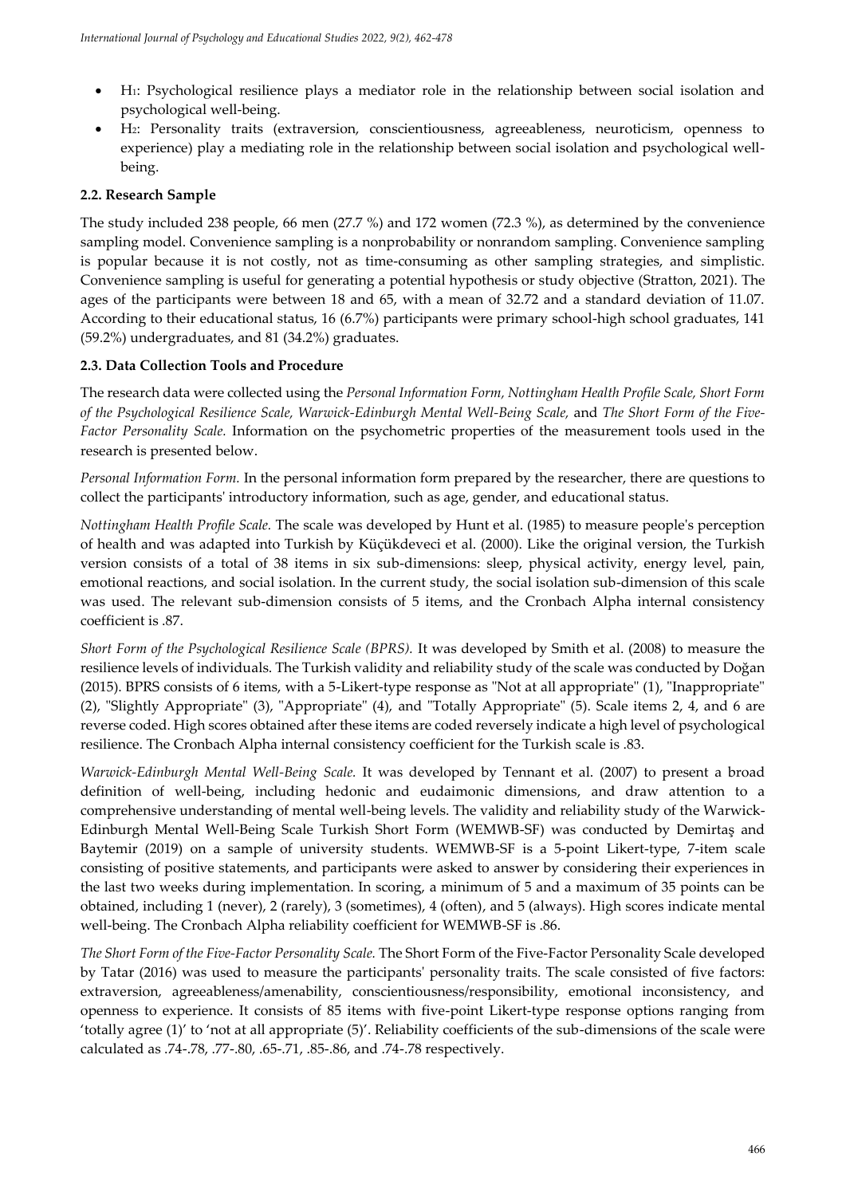- H1: Psychological resilience plays a mediator role in the relationship between social isolation and psychological well-being.
- H2: Personality traits (extraversion, conscientiousness, agreeableness, neuroticism, openness to experience) play a mediating role in the relationship between social isolation and psychological wellbeing.

# **2.2. Research Sample**

The study included 238 people, 66 men (27.7 %) and 172 women (72.3 %), as determined by the convenience sampling model. Convenience sampling is a nonprobability or nonrandom sampling. Convenience sampling is popular because it is not costly, not as time-consuming as other sampling strategies, and simplistic. Convenience sampling is useful for generating a potential hypothesis or study objective (Stratton, 2021). The ages of the participants were between 18 and 65, with a mean of 32.72 and a standard deviation of 11.07. According to their educational status, 16 (6.7%) participants were primary school-high school graduates, 141 (59.2%) undergraduates, and 81 (34.2%) graduates.

# **2.3. Data Collection Tools and Procedure**

The research data were collected using the *Personal Information Form, Nottingham Health Profile Scale, Short Form of the Psychological Resilience Scale, Warwick-Edinburgh Mental Well-Being Scale,* and *The Short Form of the Five-Factor Personality Scale.* Information on the psychometric properties of the measurement tools used in the research is presented below.

*Personal Information Form.* In the personal information form prepared by the researcher, there are questions to collect the participants' introductory information, such as age, gender, and educational status.

*Nottingham Health Profile Scale.* The scale was developed by Hunt et al. (1985) to measure people's perception of health and was adapted into Turkish by Küçükdeveci et al. (2000). Like the original version, the Turkish version consists of a total of 38 items in six sub-dimensions: sleep, physical activity, energy level, pain, emotional reactions, and social isolation. In the current study, the social isolation sub-dimension of this scale was used. The relevant sub-dimension consists of 5 items, and the Cronbach Alpha internal consistency coefficient is .87.

*Short Form of the Psychological Resilience Scale (BPRS).* It was developed by Smith et al. (2008) to measure the resilience levels of individuals. The Turkish validity and reliability study of the scale was conducted by Doğan (2015). BPRS consists of 6 items, with a 5-Likert-type response as "Not at all appropriate" (1), "Inappropriate" (2), "Slightly Appropriate" (3), "Appropriate" (4), and "Totally Appropriate" (5). Scale items 2, 4, and 6 are reverse coded. High scores obtained after these items are coded reversely indicate a high level of psychological resilience. The Cronbach Alpha internal consistency coefficient for the Turkish scale is .83.

*Warwick-Edinburgh Mental Well-Being Scale.* It was developed by Tennant et al. (2007) to present a broad definition of well-being, including hedonic and eudaimonic dimensions, and draw attention to a comprehensive understanding of mental well-being levels. The validity and reliability study of the Warwick-Edinburgh Mental Well-Being Scale Turkish Short Form (WEMWB-SF) was conducted by Demirtaş and Baytemir (2019) on a sample of university students. WEMWB-SF is a 5-point Likert-type, 7-item scale consisting of positive statements, and participants were asked to answer by considering their experiences in the last two weeks during implementation. In scoring, a minimum of 5 and a maximum of 35 points can be obtained, including 1 (never), 2 (rarely), 3 (sometimes), 4 (often), and 5 (always). High scores indicate mental well-being. The Cronbach Alpha reliability coefficient for WEMWB-SF is .86.

*The Short Form of the Five-Factor Personality Scale.* The Short Form of the Five-Factor Personality Scale developed by Tatar (2016) was used to measure the participants' personality traits. The scale consisted of five factors: extraversion, agreeableness/amenability, conscientiousness/responsibility, emotional inconsistency, and openness to experience. It consists of 85 items with five-point Likert-type response options ranging from 'totally agree (1)' to 'not at all appropriate (5)'. Reliability coefficients of the sub-dimensions of the scale were calculated as .74-.78, .77-.80, .65-.71, .85-.86, and .74-.78 respectively.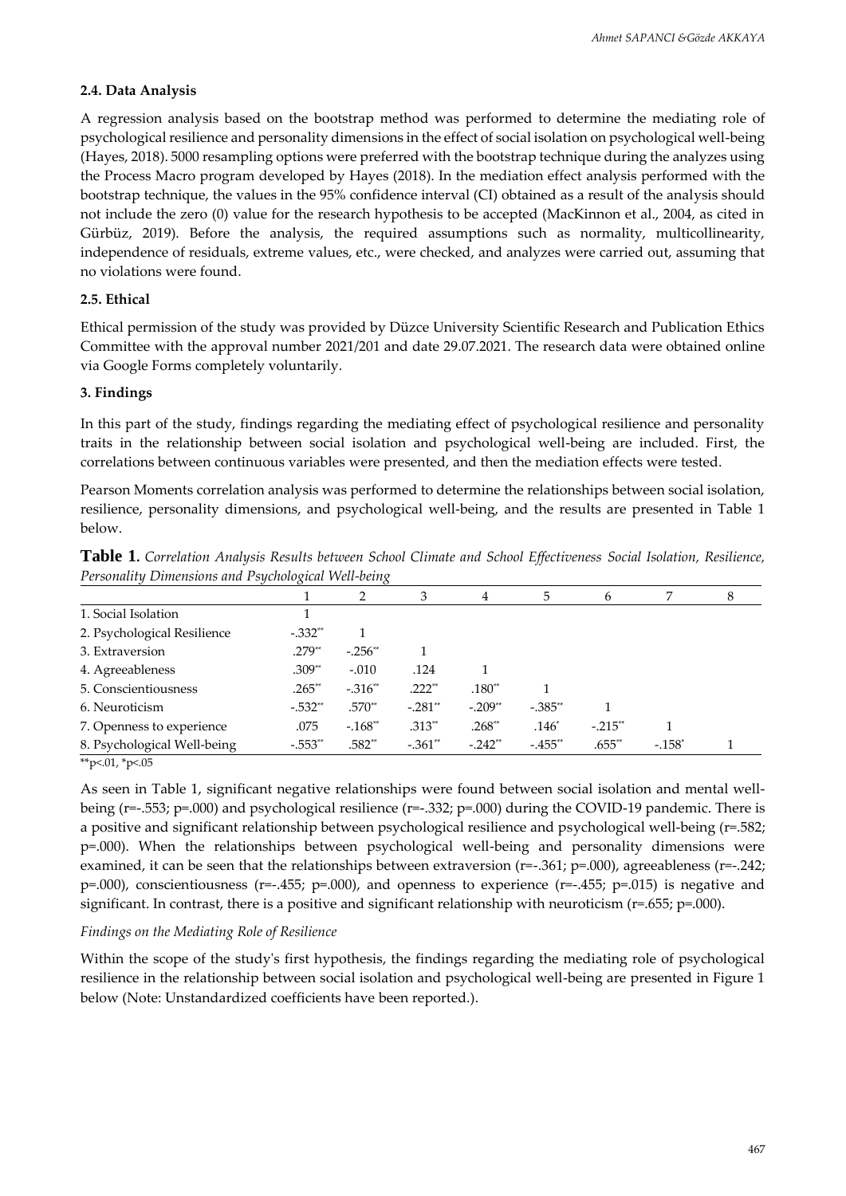#### **2.4. Data Analysis**

A regression analysis based on the bootstrap method was performed to determine the mediating role of psychological resilience and personality dimensions in the effect of social isolation on psychological well-being (Hayes, 2018). 5000 resampling options were preferred with the bootstrap technique during the analyzes using the Process Macro program developed by Hayes (2018). In the mediation effect analysis performed with the bootstrap technique, the values in the 95% confidence interval (CI) obtained as a result of the analysis should not include the zero (0) value for the research hypothesis to be accepted (MacKinnon et al., 2004, as cited in Gürbüz, 2019). Before the analysis, the required assumptions such as normality, multicollinearity, independence of residuals, extreme values, etc., were checked, and analyzes were carried out, assuming that no violations were found.

# **2.5. Ethical**

Ethical permission of the study was provided by Düzce University Scientific Research and Publication Ethics Committee with the approval number 2021/201 and date 29.07.2021. The research data were obtained online via Google Forms completely voluntarily.

#### **3. Findings**

In this part of the study, findings regarding the mediating effect of psychological resilience and personality traits in the relationship between social isolation and psychological well-being are included. First, the correlations between continuous variables were presented, and then the mediation effects were tested.

Pearson Moments correlation analysis was performed to determine the relationships between social isolation, resilience, personality dimensions, and psychological well-being, and the results are presented in Table 1 below.

| $\sim$ creditating $\approx$ mixements in the $\sim$ equivalent ratio compared to $\sim$ |            |           |           |           |           |           |          |  |
|------------------------------------------------------------------------------------------|------------|-----------|-----------|-----------|-----------|-----------|----------|--|
|                                                                                          |            |           | 3         | 4         | 5         | 6         |          |  |
| 1. Social Isolation                                                                      |            |           |           |           |           |           |          |  |
| 2. Psychological Resilience                                                              | $-.332**$  |           |           |           |           |           |          |  |
| 3. Extraversion                                                                          | $.279**$   | $-.256**$ |           |           |           |           |          |  |
| 4. Agreeableness                                                                         | $.309**$   | $-.010$   | .124      |           |           |           |          |  |
| 5. Conscientiousness                                                                     | $.265**$   | $-.316**$ | $.222**$  | $.180**$  |           |           |          |  |
| 6. Neuroticism                                                                           | $-.532**$  | $.570**$  | $-.281**$ | $-.209**$ | $-.385**$ |           |          |  |
| 7. Openness to experience                                                                | .075       | $-.168**$ | $.313**$  | $.268**$  | $.146*$   | $-.215**$ |          |  |
| 8. Psychological Well-being                                                              | $-0.553**$ | $.582**$  | $-.361**$ | $-.242**$ | $-455**$  | $.655**$  | $-158^*$ |  |

**Table 1.** *Correlation Analysis Results between School Climate and School Effectiveness Social Isolation, Resilience, Personality Dimensions and Psychological Well-being*

\*\*p<.01, \*p<.05

As seen in Table 1, significant negative relationships were found between social isolation and mental wellbeing (r=-.553; p=.000) and psychological resilience (r=-.332; p=.000) during the COVID-19 pandemic. There is a positive and significant relationship between psychological resilience and psychological well-being (r=.582; p=.000). When the relationships between psychological well-being and personality dimensions were examined, it can be seen that the relationships between extraversion (r=-.361; p=.000), agreeableness (r=-.242;  $p=0.00$ ), conscientiousness (r=-.455; p=.000), and openness to experience (r=-.455; p=.015) is negative and significant. In contrast, there is a positive and significant relationship with neuroticism (r=.655; p=.000).

#### *Findings on the Mediating Role of Resilience*

Within the scope of the study's first hypothesis, the findings regarding the mediating role of psychological resilience in the relationship between social isolation and psychological well-being are presented in Figure 1 below (Note: Unstandardized coefficients have been reported.).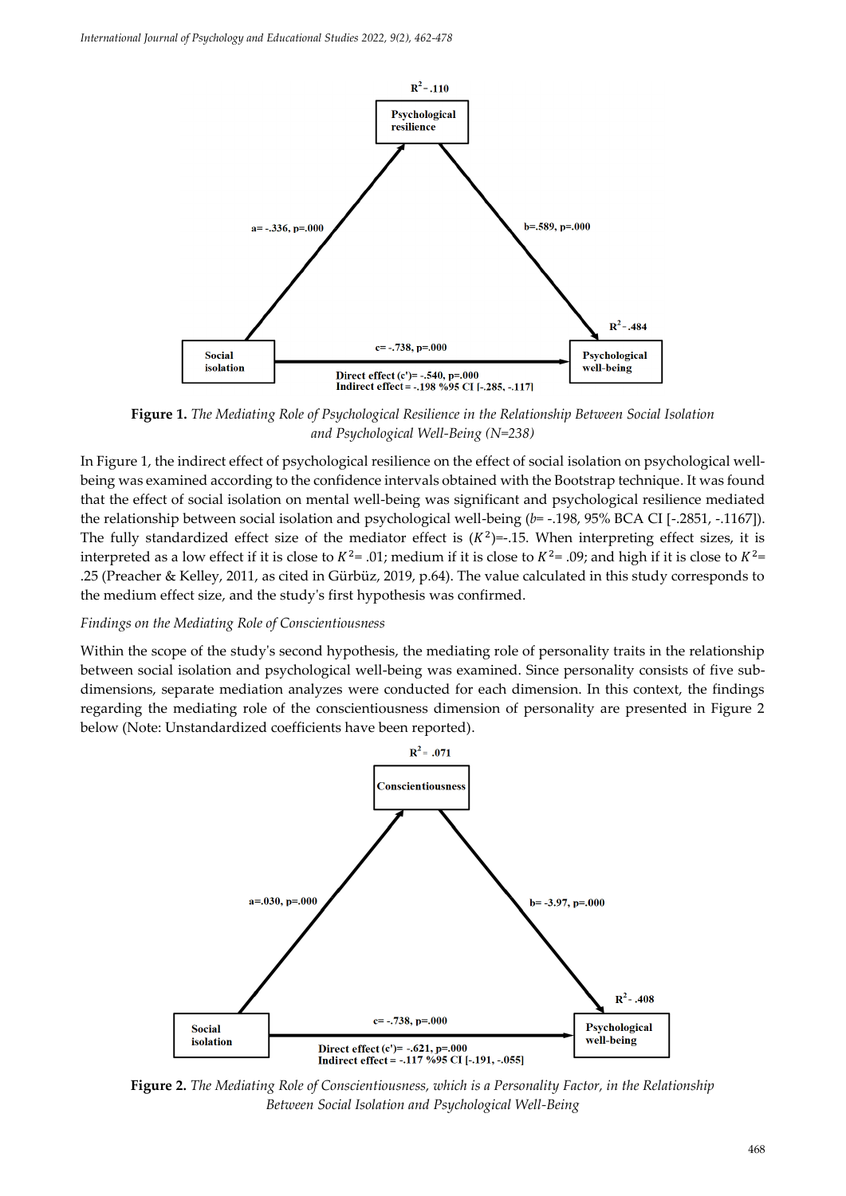

**Figure 1.** *The Mediating Role of Psychological Resilience in the Relationship Between Social Isolation and Psychological Well-Being (N=238)*

In Figure 1, the indirect effect of psychological resilience on the effect of social isolation on psychological wellbeing was examined according to the confidence intervals obtained with the Bootstrap technique. It was found that the effect of social isolation on mental well-being was significant and psychological resilience mediated the relationship between social isolation and psychological well-being (*b*= -.198, 95% BCA CI [-.2851, -.1167]). The fully standardized effect size of the mediator effect is  $(K^2)$ =-.15. When interpreting effect sizes, it is interpreted as a low effect if it is close to  $K^2$ = .01; medium if it is close to  $K^2$ = .09; and high if it is close to  $K^2$ = .25 (Preacher & Kelley, 2011, as cited in Gürbüz, 2019, p.64). The value calculated in this study corresponds to the medium effect size, and the study's first hypothesis was confirmed.

#### *Findings on the Mediating Role of Conscientiousness*

Within the scope of the study's second hypothesis, the mediating role of personality traits in the relationship between social isolation and psychological well-being was examined. Since personality consists of five subdimensions, separate mediation analyzes were conducted for each dimension. In this context, the findings regarding the mediating role of the conscientiousness dimension of personality are presented in Figure 2 below (Note: Unstandardized coefficients have been reported).



**Figure 2.** *The Mediating Role of Conscientiousness, which is a Personality Factor, in the Relationship Between Social Isolation and Psychological Well-Being*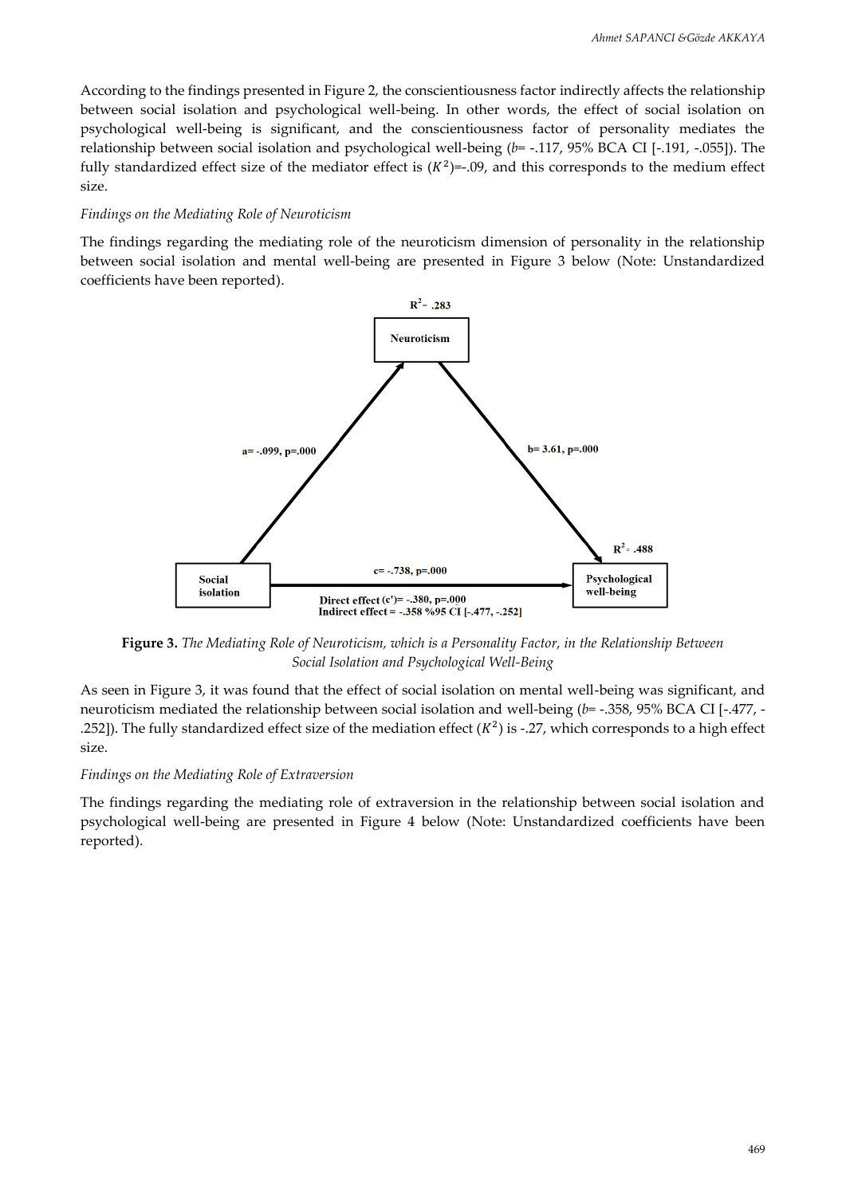According to the findings presented in Figure 2, the conscientiousness factor indirectly affects the relationship between social isolation and psychological well-being. In other words, the effect of social isolation on psychological well-being is significant, and the conscientiousness factor of personality mediates the relationship between social isolation and psychological well-being (*b*= -.117, 95% BCA CI [-.191, -.055]). The fully standardized effect size of the mediator effect is  $(K^2)$ =-.09, and this corresponds to the medium effect size.

#### *Findings on the Mediating Role of Neuroticism*

The findings regarding the mediating role of the neuroticism dimension of personality in the relationship between social isolation and mental well-being are presented in Figure 3 below (Note: Unstandardized coefficients have been reported).



**Figure 3.** *The Mediating Role of Neuroticism, which is a Personality Factor, in the Relationship Between Social Isolation and Psychological Well-Being*

As seen in Figure 3, it was found that the effect of social isolation on mental well-being was significant, and neuroticism mediated the relationship between social isolation and well-being (*b*= -.358, 95% BCA CI [-.477, - .252]). The fully standardized effect size of the mediation effect  $(K^2)$  is -.27, which corresponds to a high effect size.

#### *Findings on the Mediating Role of Extraversion*

The findings regarding the mediating role of extraversion in the relationship between social isolation and psychological well-being are presented in Figure 4 below (Note: Unstandardized coefficients have been reported).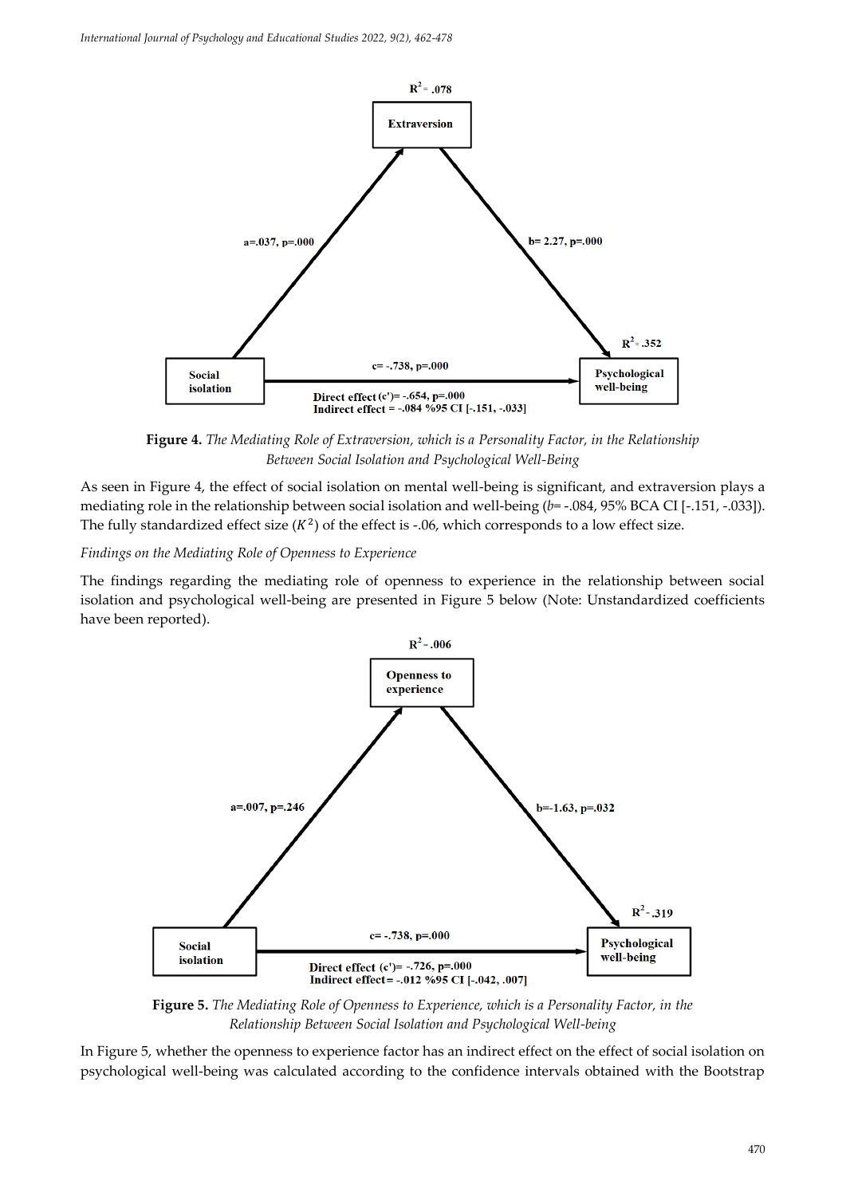

**Figure 4.** *The Mediating Role of Extraversion, which is a Personality Factor, in the Relationship Between Social Isolation and Psychological Well-Being*

As seen in Figure 4, the effect of social isolation on mental well-being is significant, and extraversion plays a mediating role in the relationship between social isolation and well-being (*b*= -.084, 95% BCA CI [-.151, -.033]). The fully standardized effect size  $(K^2)$  of the effect is -.06, which corresponds to a low effect size.

#### *Findings on the Mediating Role of Openness to Experience*

The findings regarding the mediating role of openness to experience in the relationship between social isolation and psychological well-being are presented in Figure 5 below (Note: Unstandardized coefficients have been reported).



**Figure 5.** *The Mediating Role of Openness to Experience, which is a Personality Factor, in the Relationship Between Social Isolation and Psychological Well-being*

In Figure 5, whether the openness to experience factor has an indirect effect on the effect of social isolation on psychological well-being was calculated according to the confidence intervals obtained with the Bootstrap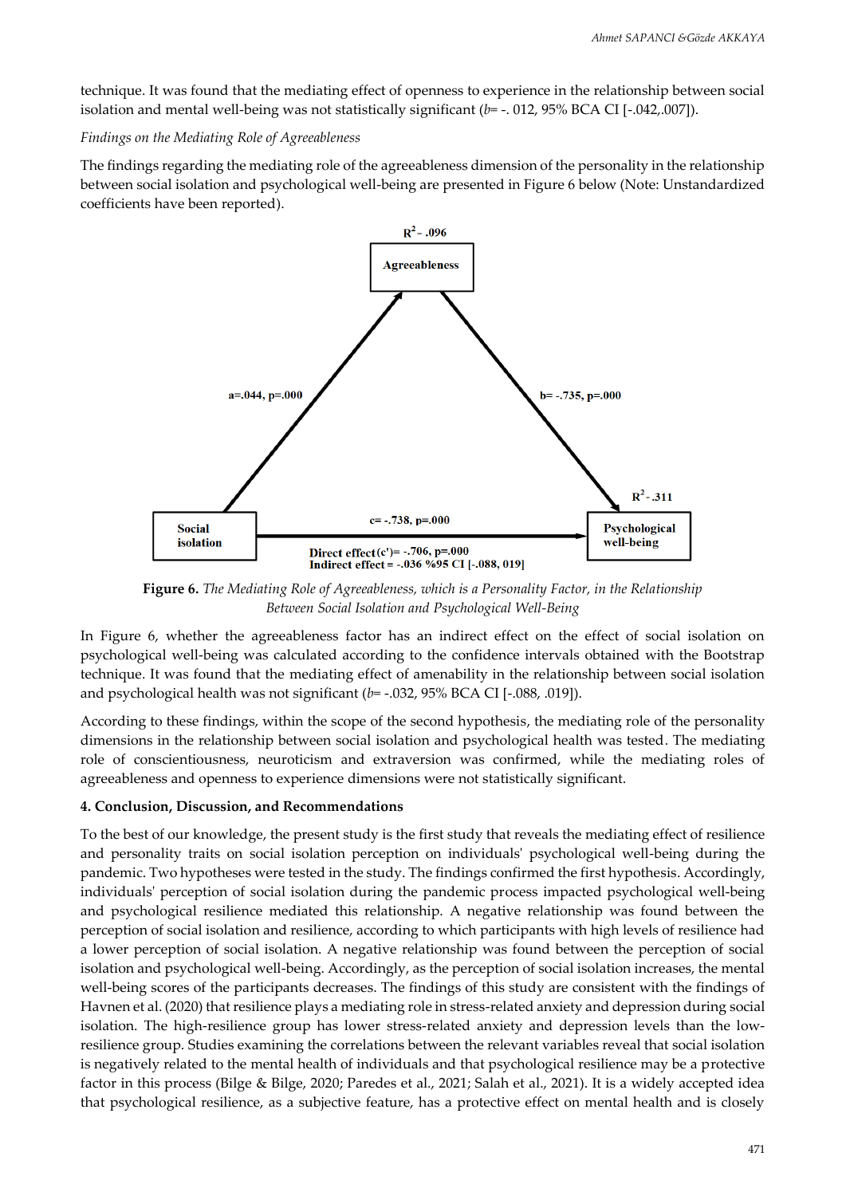technique. It was found that the mediating effect of openness to experience in the relationship between social isolation and mental well-being was not statistically significant ( $b$ = -. 012, 95% BCA CI [-.042,.007]).

# *Findings on the Mediating Role of Agreeableness*

The findings regarding the mediating role of the agreeableness dimension of the personality in the relationship between social isolation and psychological well-being are presented in Figure 6 below (Note: Unstandardized coefficients have been reported).



**Figure 6.** *The Mediating Role of Agreeableness, which is a Personality Factor, in the Relationship Between Social Isolation and Psychological Well-Being*

In Figure 6, whether the agreeableness factor has an indirect effect on the effect of social isolation on psychological well-being was calculated according to the confidence intervals obtained with the Bootstrap technique. It was found that the mediating effect of amenability in the relationship between social isolation and psychological health was not significant (*b*= -.032, 95% BCA CI [-.088, .019]).

According to these findings, within the scope of the second hypothesis, the mediating role of the personality dimensions in the relationship between social isolation and psychological health was tested. The mediating role of conscientiousness, neuroticism and extraversion was confirmed, while the mediating roles of agreeableness and openness to experience dimensions were not statistically significant.

# **4. Conclusion, Discussion, and Recommendations**

To the best of our knowledge, the present study is the first study that reveals the mediating effect of resilience and personality traits on social isolation perception on individuals' psychological well-being during the pandemic. Two hypotheses were tested in the study. The findings confirmed the first hypothesis. Accordingly, individuals' perception of social isolation during the pandemic process impacted psychological well-being and psychological resilience mediated this relationship. A negative relationship was found between the perception of social isolation and resilience, according to which participants with high levels of resilience had a lower perception of social isolation. A negative relationship was found between the perception of social isolation and psychological well-being. Accordingly, as the perception of social isolation increases, the mental well-being scores of the participants decreases. The findings of this study are consistent with the findings of Havnen et al. (2020) that resilience plays a mediating role in stress-related anxiety and depression during social isolation. The high-resilience group has lower stress-related anxiety and depression levels than the lowresilience group. Studies examining the correlations between the relevant variables reveal that social isolation is negatively related to the mental health of individuals and that psychological resilience may be a protective factor in this process (Bilge & Bilge, 2020; Paredes et al., 2021; Salah et al., 2021). It is a widely accepted idea that psychological resilience, as a subjective feature, has a protective effect on mental health and is closely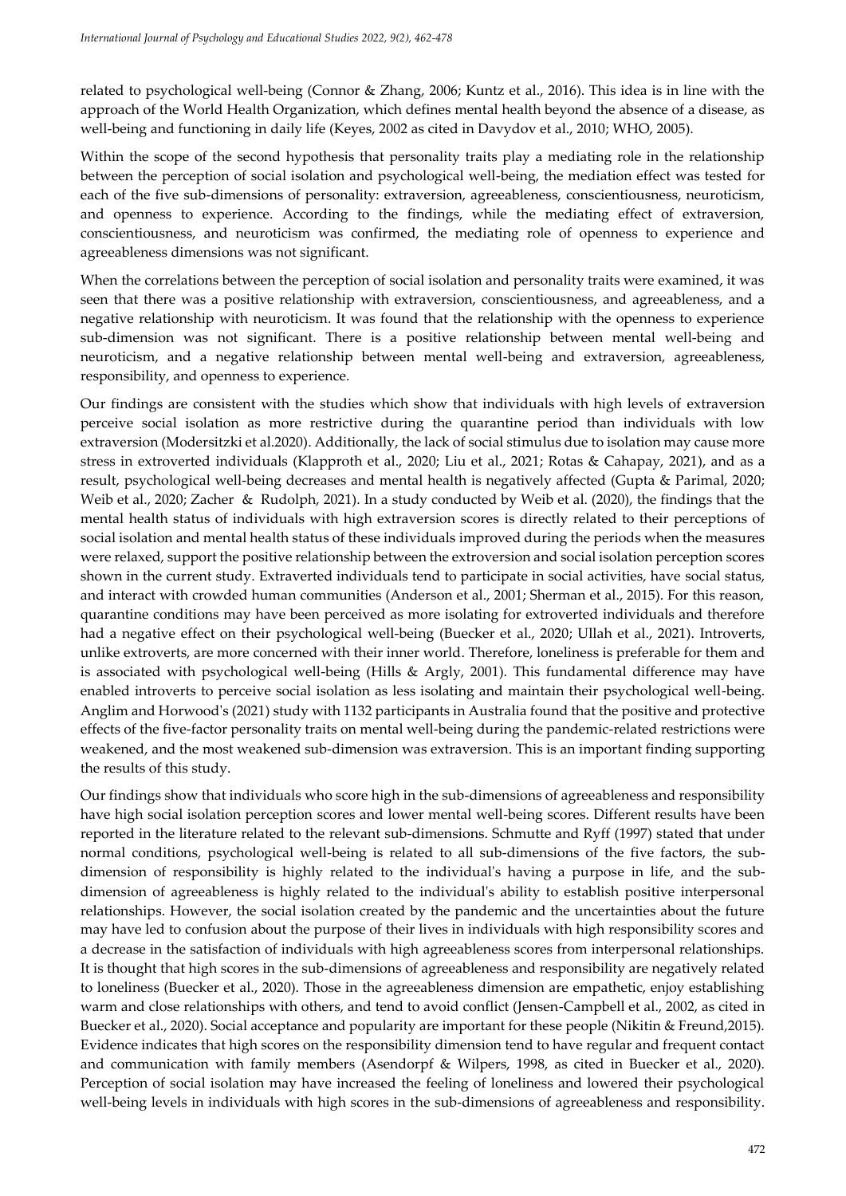related to psychological well-being (Connor & Zhang, 2006; Kuntz et al., 2016). This idea is in line with the approach of the World Health Organization, which defines mental health beyond the absence of a disease, as well-being and functioning in daily life (Keyes, 2002 as cited in Davydov et al., 2010; WHO, 2005).

Within the scope of the second hypothesis that personality traits play a mediating role in the relationship between the perception of social isolation and psychological well-being, the mediation effect was tested for each of the five sub-dimensions of personality: extraversion, agreeableness, conscientiousness, neuroticism, and openness to experience. According to the findings, while the mediating effect of extraversion, conscientiousness, and neuroticism was confirmed, the mediating role of openness to experience and agreeableness dimensions was not significant.

When the correlations between the perception of social isolation and personality traits were examined, it was seen that there was a positive relationship with extraversion, conscientiousness, and agreeableness, and a negative relationship with neuroticism. It was found that the relationship with the openness to experience sub-dimension was not significant. There is a positive relationship between mental well-being and neuroticism, and a negative relationship between mental well-being and extraversion, agreeableness, responsibility, and openness to experience.

Our findings are consistent with the studies which show that individuals with high levels of extraversion perceive social isolation as more restrictive during the quarantine period than individuals with low extraversion (Modersitzki et al.2020). Additionally, the lack of social stimulus due to isolation may cause more stress in extroverted individuals (Klapproth et al., 2020; Liu et al., 2021; Rotas & Cahapay, 2021), and as a result, psychological well-being decreases and mental health is negatively affected (Gupta & Parimal, 2020; Weib et al., 2020; Zacher & Rudolph, 2021). In a study conducted by Weib et al. (2020), the findings that the mental health status of individuals with high extraversion scores is directly related to their perceptions of social isolation and mental health status of these individuals improved during the periods when the measures were relaxed, support the positive relationship between the extroversion and social isolation perception scores shown in the current study. Extraverted individuals tend to participate in social activities, have social status, and interact with crowded human communities (Anderson et al., 2001; Sherman et al., 2015). For this reason, quarantine conditions may have been perceived as more isolating for extroverted individuals and therefore had a negative effect on their psychological well-being (Buecker et al., 2020; Ullah et al., 2021). Introverts, unlike extroverts, are more concerned with their inner world. Therefore, loneliness is preferable for them and is associated with psychological well-being (Hills & Argly, 2001). This fundamental difference may have enabled introverts to perceive social isolation as less isolating and maintain their psychological well-being. Anglim and Horwood's (2021) study with 1132 participants in Australia found that the positive and protective effects of the five-factor personality traits on mental well-being during the pandemic-related restrictions were weakened, and the most weakened sub-dimension was extraversion. This is an important finding supporting the results of this study.

Our findings show that individuals who score high in the sub-dimensions of agreeableness and responsibility have high social isolation perception scores and lower mental well-being scores. Different results have been reported in the literature related to the relevant sub-dimensions. Schmutte and Ryff (1997) stated that under normal conditions, psychological well-being is related to all sub-dimensions of the five factors, the subdimension of responsibility is highly related to the individual's having a purpose in life, and the subdimension of agreeableness is highly related to the individual's ability to establish positive interpersonal relationships. However, the social isolation created by the pandemic and the uncertainties about the future may have led to confusion about the purpose of their lives in individuals with high responsibility scores and a decrease in the satisfaction of individuals with high agreeableness scores from interpersonal relationships. It is thought that high scores in the sub-dimensions of agreeableness and responsibility are negatively related to loneliness (Buecker et al., 2020). Those in the agreeableness dimension are empathetic, enjoy establishing warm and close relationships with others, and tend to avoid conflict (Jensen-Campbell et al., 2002, as cited in Buecker et al., 2020). Social acceptance and popularity are important for these people (Nikitin & Freund,2015). Evidence indicates that high scores on the responsibility dimension tend to have regular and frequent contact and communication with family members (Asendorpf & Wilpers, 1998, as cited in Buecker et al., 2020). Perception of social isolation may have increased the feeling of loneliness and lowered their psychological well-being levels in individuals with high scores in the sub-dimensions of agreeableness and responsibility.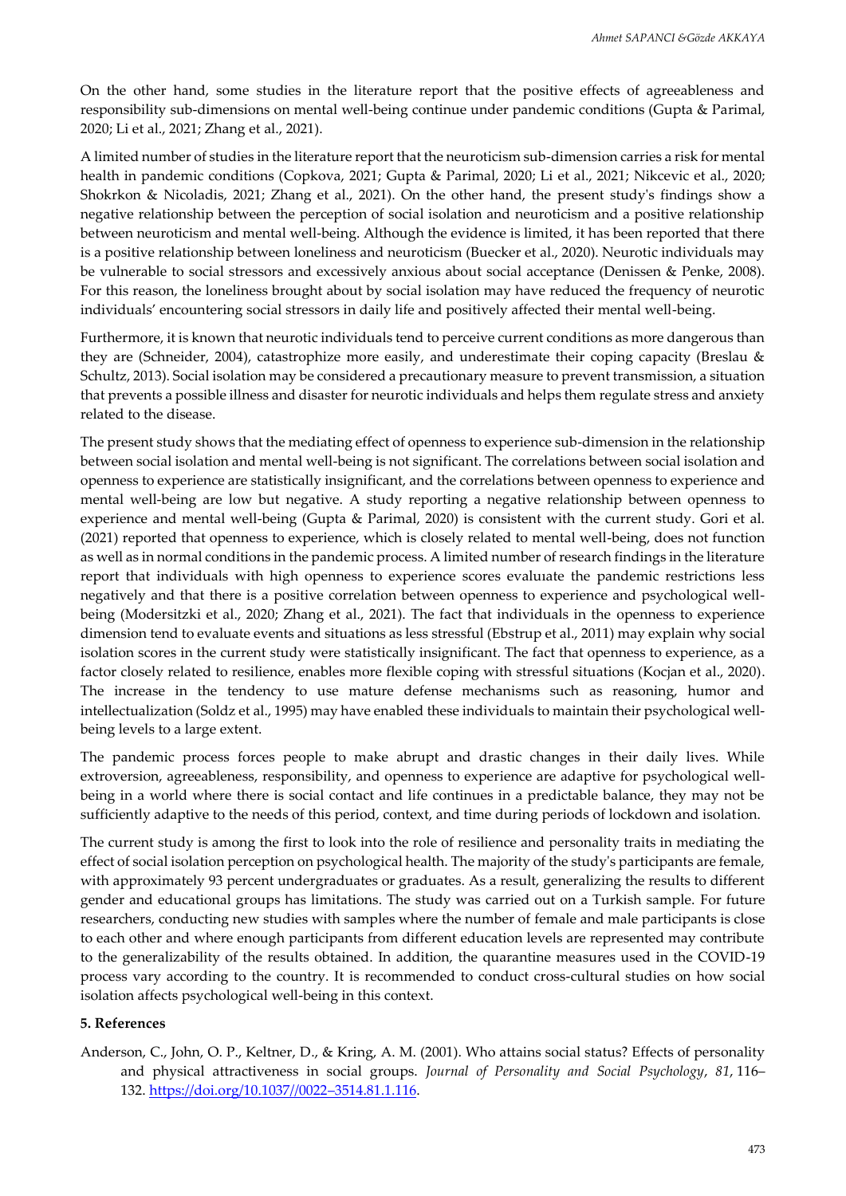On the other hand, some studies in the literature report that the positive effects of agreeableness and responsibility sub-dimensions on mental well-being continue under pandemic conditions (Gupta & Parimal, 2020; Li et al., 2021; Zhang et al., 2021).

A limited number of studies in the literature report that the neuroticism sub-dimension carries a risk for mental health in pandemic conditions (Copkova, 2021; Gupta & Parimal, 2020; Li et al., 2021; Nikcevic et al., 2020; Shokrkon & Nicoladis, 2021; Zhang et al., 2021). On the other hand, the present study's findings show a negative relationship between the perception of social isolation and neuroticism and a positive relationship between neuroticism and mental well-being. Although the evidence is limited, it has been reported that there is a positive relationship between loneliness and neuroticism (Buecker et al., 2020). Neurotic individuals may be vulnerable to social stressors and excessively anxious about social acceptance (Denissen & Penke, 2008). For this reason, the loneliness brought about by social isolation may have reduced the frequency of neurotic individuals' encountering social stressors in daily life and positively affected their mental well-being.

Furthermore, it is known that neurotic individuals tend to perceive current conditions as more dangerous than they are (Schneider, 2004), catastrophize more easily, and underestimate their coping capacity (Breslau & Schultz, 2013). Social isolation may be considered a precautionary measure to prevent transmission, a situation that prevents a possible illness and disaster for neurotic individuals and helps them regulate stress and anxiety related to the disease.

The present study shows that the mediating effect of openness to experience sub-dimension in the relationship between social isolation and mental well-being is not significant. The correlations between social isolation and openness to experience are statistically insignificant, and the correlations between openness to experience and mental well-being are low but negative. A study reporting a negative relationship between openness to experience and mental well-being (Gupta & Parimal, 2020) is consistent with the current study. Gori et al. (2021) reported that openness to experience, which is closely related to mental well-being, does not function as well as in normal conditions in the pandemic process. A limited number of research findings in the literature report that individuals with high openness to experience scores evaluıate the pandemic restrictions less negatively and that there is a positive correlation between openness to experience and psychological wellbeing (Modersitzki et al., 2020; Zhang et al., 2021). The fact that individuals in the openness to experience dimension tend to evaluate events and situations as less stressful (Ebstrup et al., 2011) may explain why social isolation scores in the current study were statistically insignificant. The fact that openness to experience, as a factor closely related to resilience, enables more flexible coping with stressful situations (Kocjan et al., 2020). The increase in the tendency to use mature defense mechanisms such as reasoning, humor and intellectualization (Soldz et al., 1995) may have enabled these individuals to maintain their psychological wellbeing levels to a large extent.

The pandemic process forces people to make abrupt and drastic changes in their daily lives. While extroversion, agreeableness, responsibility, and openness to experience are adaptive for psychological wellbeing in a world where there is social contact and life continues in a predictable balance, they may not be sufficiently adaptive to the needs of this period, context, and time during periods of lockdown and isolation.

The current study is among the first to look into the role of resilience and personality traits in mediating the effect of social isolation perception on psychological health. The majority of the study's participants are female, with approximately 93 percent undergraduates or graduates. As a result, generalizing the results to different gender and educational groups has limitations. The study was carried out on a Turkish sample. For future researchers, conducting new studies with samples where the number of female and male participants is close to each other and where enough participants from different education levels are represented may contribute to the generalizability of the results obtained. In addition, the quarantine measures used in the COVID-19 process vary according to the country. It is recommended to conduct cross-cultural studies on how social isolation affects psychological well-being in this context.

#### **5. References**

Anderson, C., John, O. P., Keltner, D., & Kring, A. M. (2001). Who attains social status? Effects of personality and physical attractiveness in social groups. *Journal of Personality and Social Psychology*, *81*, 116– 132. [https://doi.org/10.1037//0022](https://doi.org/10.1037/0022-3514.81.1.116)–3514.81.1.116.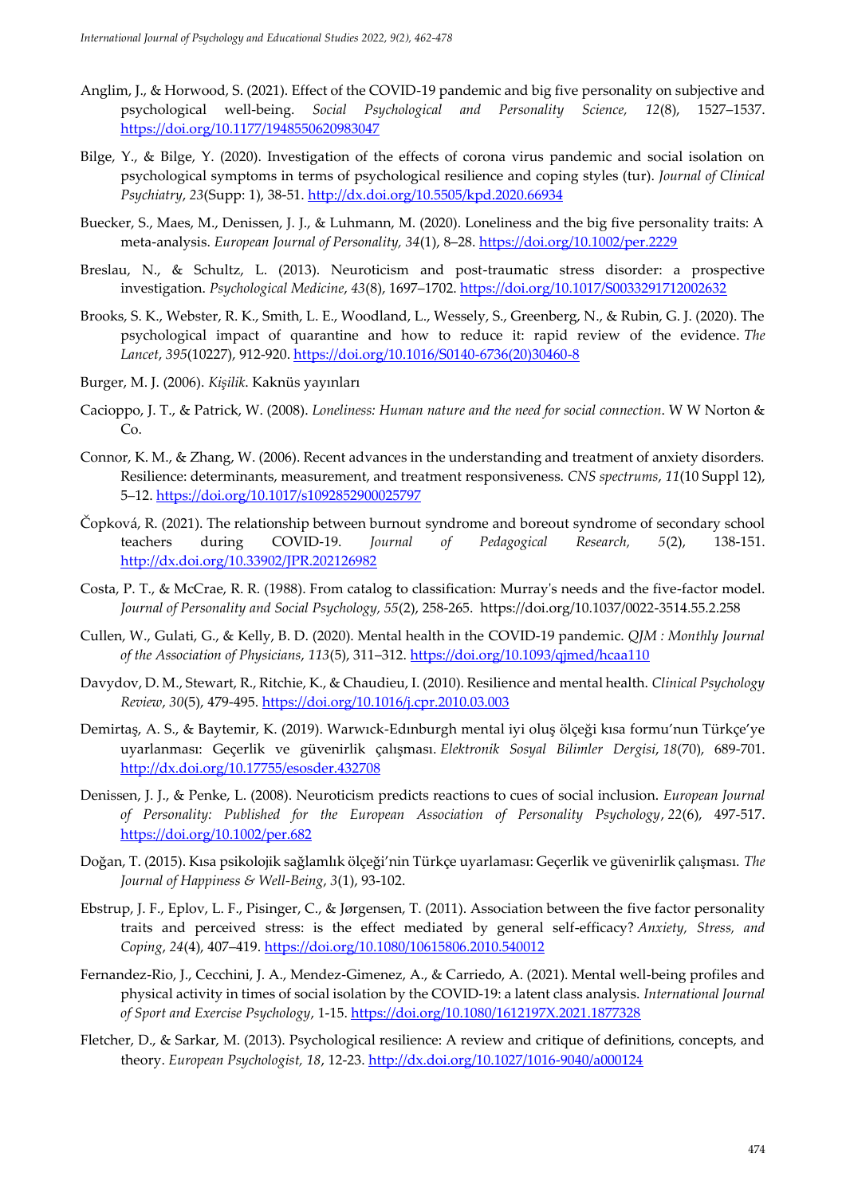- Anglim, J., & Horwood, S. (2021). Effect of the COVID-19 pandemic and big five personality on subjective and psychological well-being. *Social Psychological and Personality Science, 12*(8), 1527–1537. <https://doi.org/10.1177/1948550620983047>
- Bilge, Y., & Bilge, Y. (2020). Investigation of the effects of corona virus pandemic and social isolation on psychological symptoms in terms of psychological resilience and coping styles (tur). *Journal of Clinical Psychiatry*, *23*(Supp: 1), 38-51. <http://dx.doi.org/10.5505/kpd.2020.66934>
- Buecker, S., Maes, M., Denissen, J. J., & Luhmann, M. (2020). Loneliness and the big five personality traits: A meta-analysis. *European Journal of Personality, 34*(1), 8–28. <https://doi.org/10.1002/per.2229>
- Breslau, N., & Schultz, L. (2013). Neuroticism and post-traumatic stress disorder: a prospective investigation. *Psychological Medicine*, *43*(8), 1697–1702.<https://doi.org/10.1017/S0033291712002632>
- Brooks, S. K., Webster, R. K., Smith, L. E., Woodland, L., Wessely, S., Greenberg, N., & Rubin, G. J. (2020). The psychological impact of quarantine and how to reduce it: rapid review of the evidence. *The Lancet*, *395*(10227), 912-920. [https://doi.org/10.1016/S0140-6736\(20\)30460-8](https://doi.org/10.1016/S0140-6736(20)30460-8)
- Burger, M. J. (2006). *Kişilik*. Kaknüs yayınları
- Cacioppo, J. T., & Patrick, W. (2008). *Loneliness: Human nature and the need for social connection*. W W Norton & Co.
- Connor, K. M., & Zhang, W. (2006). Recent advances in the understanding and treatment of anxiety disorders. Resilience: determinants, measurement, and treatment responsiveness. *CNS spectrums*, *11*(10 Suppl 12), 5–12.<https://doi.org/10.1017/s1092852900025797>
- Čopková, R. (2021). The relationship between burnout syndrome and boreout syndrome of secondary school teachers during COVID-19. *Journal of Pedagogical Research, 5*(2), 138-151. <http://dx.doi.org/10.33902/JPR.202126982>
- Costa, P. T., & McCrae, R. R. (1988). From catalog to classification: Murray's needs and the five-factor model. *Journal of Personality and Social Psychology, 55*(2), 258-265. https://doi.org/10.1037/0022-3514.55.2.258
- Cullen, W., Gulati, G., & Kelly, B. D. (2020). Mental health in the COVID-19 pandemic. *QJM : Monthly Journal of the Association of Physicians*, *113*(5), 311–312[. https://doi.org/10.1093/qjmed/hcaa110](https://doi.org/10.1093/qjmed/hcaa110)
- Davydov, D. M., Stewart, R., Ritchie, K., & Chaudieu, I. (2010). Resilience and mental health. *Clinical Psychology Review*, *30*(5), 479-495. <https://doi.org/10.1016/j.cpr.2010.03.003>
- Demirtaş, A. S., & Baytemir, K. (2019). Warwıck-Edınburgh mental iyi oluş ölçeği kısa formu'nun Türkçe'ye uyarlanması: Geçerlik ve güvenirlik çalışması. *Elektronik Sosyal Bilimler Dergisi*, *18*(70), 689-701. <http://dx.doi.org/10.17755/esosder.432708>
- Denissen, J. J., & Penke, L. (2008). Neuroticism predicts reactions to cues of social inclusion. *European Journal of Personality: Published for the European Association of Personality Psychology*, *22*(6), 497-517. <https://doi.org/10.1002/per.682>
- Doğan, T. (2015). Kısa psikolojik sağlamlık ölçeği'nin Türkçe uyarlaması: Geçerlik ve güvenirlik çalışması. *The Journal of Happiness & Well-Being*, *3*(1), 93-102.
- Ebstrup, J. F., Eplov, L. F., Pisinger, C., & Jørgensen, T. (2011). Association between the five factor personality traits and perceived stress: is the effect mediated by general self-efficacy? *Anxiety, Stress, and Coping*, *24*(4), 407–419.<https://doi.org/10.1080/10615806.2010.540012>
- Fernandez-Rio, J., Cecchini, J. A., Mendez-Gimenez, A., & Carriedo, A. (2021). Mental well-being profiles and physical activity in times of social isolation by the COVID-19: a latent class analysis. *International Journal of Sport and Exercise Psychology*, 1-15. <https://doi.org/10.1080/1612197X.2021.1877328>
- Fletcher, D., & Sarkar, M. (2013). Psychological resilience: A review and critique of definitions, concepts, and theory. *European Psychologist, 18*, 12-23.<http://dx.doi.org/10.1027/1016-9040/a000124>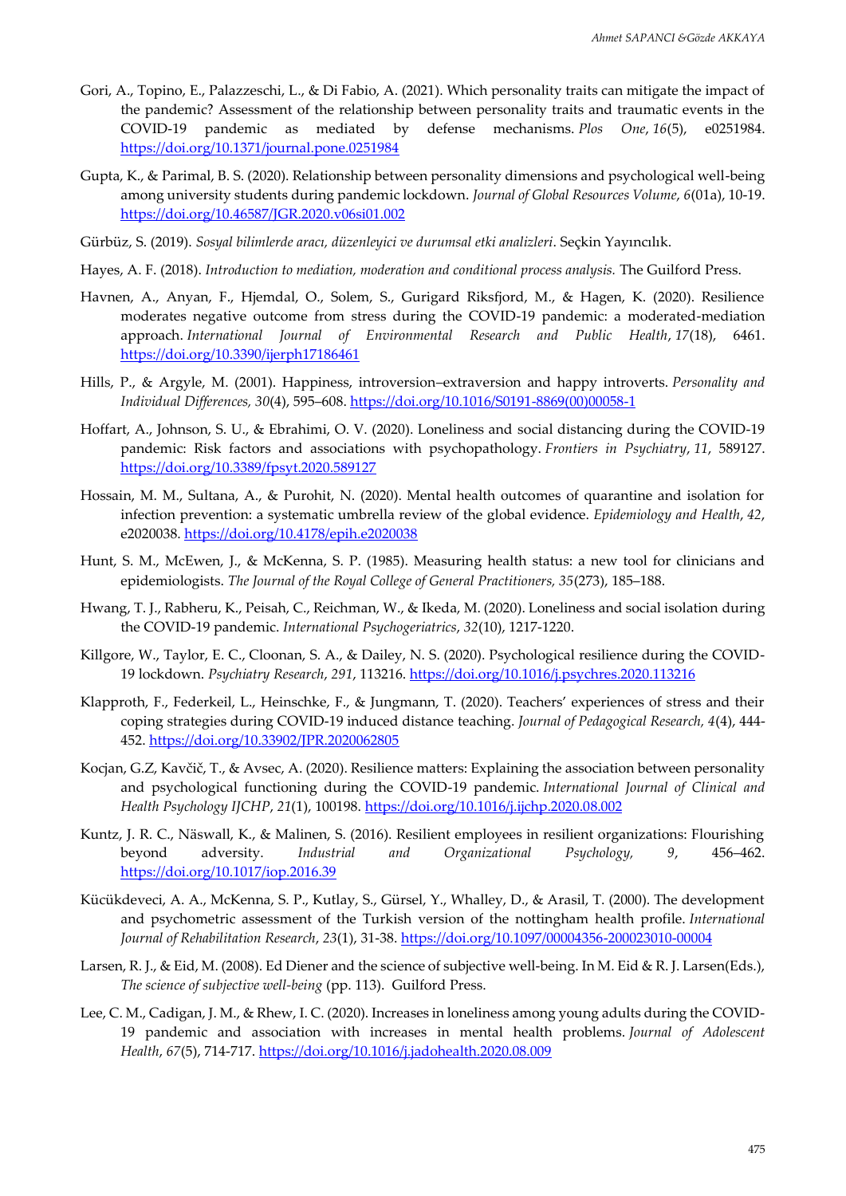- Gori, A., Topino, E., Palazzeschi, L., & Di Fabio, A. (2021). Which personality traits can mitigate the impact of the pandemic? Assessment of the relationship between personality traits and traumatic events in the COVID-19 pandemic as mediated by defense mechanisms. *Plos One*, *16*(5), e0251984. <https://doi.org/10.1371/journal.pone.0251984>
- Gupta, K., & Parimal, B. S. (2020). Relationship between personality dimensions and psychological well-being among university students during pandemic lockdown. *Journal of Global Resources Volume*, *6*(01a), 10-19. <https://doi.org/10.46587/JGR.2020.v06si01.002>
- Gürbüz, S. (2019). *Sosyal bilimlerde aracı, düzenleyici ve durumsal etki analizleri*. Seçkin Yayıncılık.
- Hayes, A. F. (2018). *Introduction to mediation, moderation and conditional process analysis.* The Guilford Press.
- Havnen, A., Anyan, F., Hjemdal, O., Solem, S., Gurigard Riksfjord, M., & Hagen, K. (2020). Resilience moderates negative outcome from stress during the COVID-19 pandemic: a moderated-mediation approach. *International Journal of Environmental Research and Public Health*, *17*(18), 6461. <https://doi.org/10.3390/ijerph17186461>
- Hills, P., & Argyle, M. (2001). Happiness, introversion–extraversion and happy introverts. *Personality and Individual Differences, 30*(4), 595–608. [https://doi.org/10.1016/S0191-8869\(00\)00058-1](https://doi.org/10.1016/S0191-8869(00)00058-1)
- Hoffart, A., Johnson, S. U., & Ebrahimi, O. V. (2020). Loneliness and social distancing during the COVID-19 pandemic: Risk factors and associations with psychopathology. *Frontiers in Psychiatry*, *11*, 589127. <https://doi.org/10.3389/fpsyt.2020.589127>
- Hossain, M. M., Sultana, A., & Purohit, N. (2020). Mental health outcomes of quarantine and isolation for infection prevention: a systematic umbrella review of the global evidence. *Epidemiology and Health*, *42*, e2020038.<https://doi.org/10.4178/epih.e2020038>
- Hunt, S. M., McEwen, J., & McKenna, S. P. (1985). Measuring health status: a new tool for clinicians and epidemiologists. *The Journal of the Royal College of General Practitioners, 35*(273), 185–188.
- Hwang, T. J., Rabheru, K., Peisah, C., Reichman, W., & Ikeda, M. (2020). Loneliness and social isolation during the COVID-19 pandemic. *International Psychogeriatrics*, *32*(10), 1217-1220.
- Killgore, W., Taylor, E. C., Cloonan, S. A., & Dailey, N. S. (2020). Psychological resilience during the COVID-19 lockdown. *Psychiatry Research*, *291*, 113216.<https://doi.org/10.1016/j.psychres.2020.113216>
- Klapproth, F., Federkeil, L., Heinschke, F., & Jungmann, T. (2020). Teachers' experiences of stress and their coping strategies during COVID-19 induced distance teaching. *Journal of Pedagogical Research, 4*(4), 444- 452.<https://doi.org/10.33902/JPR.2020062805>
- Kocjan, G.Z, Kavčič, T., & Avsec, A. (2020). Resilience matters: Explaining the association between personality and psychological functioning during the COVID-19 pandemic. *International Journal of Clinical and Health Psychology IJCHP*, *21*(1), 100198.<https://doi.org/10.1016/j.ijchp.2020.08.002>
- Kuntz, J. R. C., Näswall, K., & Malinen, S. (2016). Resilient employees in resilient organizations: Flourishing beyond adversity. *Industrial and Organizational Psychology, 9*, 456–462. <https://doi.org/10.1017/iop.2016.39>
- Kücükdeveci, A. A., McKenna, S. P., Kutlay, S., Gürsel, Y., Whalley, D., & Arasil, T. (2000). The development and psychometric assessment of the Turkish version of the nottingham health profile. *International Journal of Rehabilitation Research*, *23*(1), 31-38. <https://doi.org/10.1097/00004356-200023010-00004>
- Larsen, R. J., & Eid, M. (2008). Ed Diener and the science of subjective well-being. In M. Eid & R. J. Larsen(Eds.), *The science of subjective well-being* (pp. 113). Guilford Press.
- Lee, C. M., Cadigan, J. M., & Rhew, I. C. (2020). Increases in loneliness among young adults during the COVID-19 pandemic and association with increases in mental health problems. *Journal of Adolescent Health*, *67*(5), 714-717. <https://doi.org/10.1016/j.jadohealth.2020.08.009>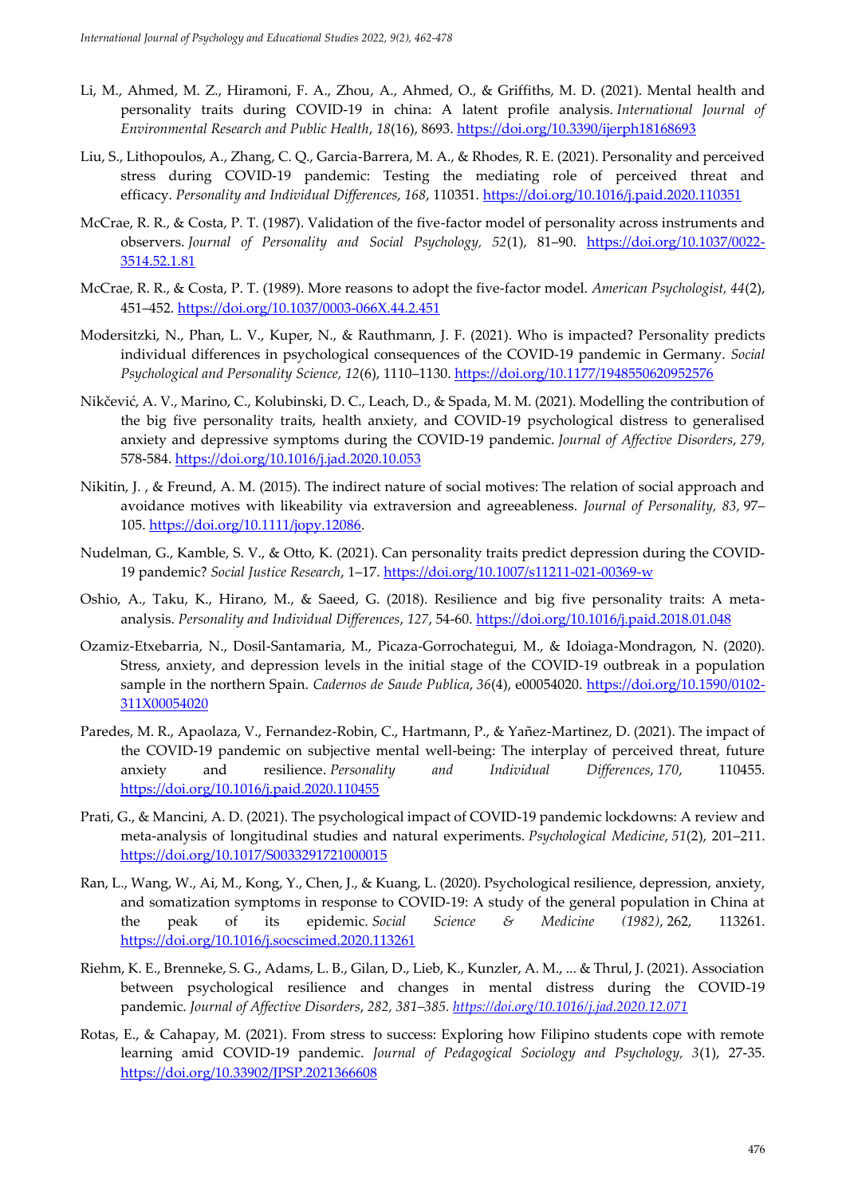- Li, M., Ahmed, M. Z., Hiramoni, F. A., Zhou, A., Ahmed, O., & Griffiths, M. D. (2021). Mental health and personality traits during COVID-19 in china: A latent profile analysis. *International Journal of Environmental Research and Public Health*, *18*(16), 8693. <https://doi.org/10.3390/ijerph18168693>
- Liu, S., Lithopoulos, A., Zhang, C. Q., Garcia-Barrera, M. A., & Rhodes, R. E. (2021). Personality and perceived stress during COVID-19 pandemic: Testing the mediating role of perceived threat and efficacy. *Personality and Individual Differences*, *168*, 110351.<https://doi.org/10.1016/j.paid.2020.110351>
- McCrae, R. R., & Costa, P. T. (1987). Validation of the five-factor model of personality across instruments and observers. *Journal of Personality and Social Psychology, 52*(1), 81–90. [https://doi.org/10.1037/0022-](https://doi.org/10.1037/0022-3514.52.1.81) [3514.52.1.81](https://doi.org/10.1037/0022-3514.52.1.81)
- McCrae, R. R., & Costa, P. T. (1989). More reasons to adopt the five-factor model. *American Psychologist, 44*(2), 451–452.<https://doi.org/10.1037/0003-066X.44.2.451>
- Modersitzki, N., Phan, L. V., Kuper, N., & Rauthmann, J. F. (2021). Who is impacted? Personality predicts individual differences in psychological consequences of the COVID-19 pandemic in Germany. *Social Psychological and Personality Science, 12*(6), 1110–1130.<https://doi.org/10.1177/1948550620952576>
- Nikčević, A. V., Marino, C., Kolubinski, D. C., Leach, D., & Spada, M. M. (2021). Modelling the contribution of the big five personality traits, health anxiety, and COVID-19 psychological distress to generalised anxiety and depressive symptoms during the COVID-19 pandemic. *Journal of Affective Disorders*, *279*, 578-584. <https://doi.org/10.1016/j.jad.2020.10.053>
- Nikitin, J. , & Freund, A. M. (2015). The indirect nature of social motives: The relation of social approach and avoidance motives with likeability via extraversion and agreeableness. *Journal of Personality, 83,* 97– 105. [https://doi.org/10.1111/jopy.12086.](https://doi.org/10.1111/jopy.12086)
- Nudelman, G., Kamble, S. V., & Otto, K. (2021). Can personality traits predict depression during the COVID-19 pandemic? *Social Justice Research*, 1–17.<https://doi.org/10.1007/s11211-021-00369-w>
- Oshio, A., Taku, K., Hirano, M., & Saeed, G. (2018). Resilience and big five personality traits: A metaanalysis. *Personality and Individual Differences*, *127*, 54-60. <https://doi.org/10.1016/j.paid.2018.01.048>
- Ozamiz-Etxebarria, N., Dosil-Santamaria, M., Picaza-Gorrochategui, M., & Idoiaga-Mondragon, N. (2020). Stress, anxiety, and depression levels in the initial stage of the COVID-19 outbreak in a population sample in the northern Spain. *Cadernos de Saude Publica*, *36*(4), e00054020. [https://doi.org/10.1590/0102-](https://doi.org/10.1590/0102-311X00054020) [311X00054020](https://doi.org/10.1590/0102-311X00054020)
- Paredes, M. R., Apaolaza, V., Fernandez-Robin, C., Hartmann, P., & Yañez-Martinez, D. (2021). The impact of the COVID-19 pandemic on subjective mental well-being: The interplay of perceived threat, future anxiety and resilience. *Personality and Individual Differences*, *170*, 110455. <https://doi.org/10.1016/j.paid.2020.110455>
- Prati, G., & Mancini, A. D. (2021). The psychological impact of COVID-19 pandemic lockdowns: A review and meta-analysis of longitudinal studies and natural experiments. *Psychological Medicine*, *51*(2), 201–211. <https://doi.org/10.1017/S0033291721000015>
- Ran, L., Wang, W., Ai, M., Kong, Y., Chen, J., & Kuang, L. (2020). Psychological resilience, depression, anxiety, and somatization symptoms in response to COVID-19: A study of the general population in China at the peak of its epidemic. *Social Science & Medicine (1982)*, 262, 113261. <https://doi.org/10.1016/j.socscimed.2020.113261>
- Riehm, K. E., Brenneke, S. G., Adams, L. B., Gilan, D., Lieb, K., Kunzler, A. M., ... & Thrul, J. (2021). Association between psychological resilience and changes in mental distress during the COVID-19 pandemic. *Journal of Affective Disorders*, *282, 381–385.<https://doi.org/10.1016/j.jad.2020.12.071>*
- Rotas, E., & Cahapay, M. (2021). From stress to success: Exploring how Filipino students cope with remote learning amid COVID-19 pandemic. *Journal of Pedagogical Sociology and Psychology, 3*(1), 27-35. <https://doi.org/10.33902/JPSP.2021366608>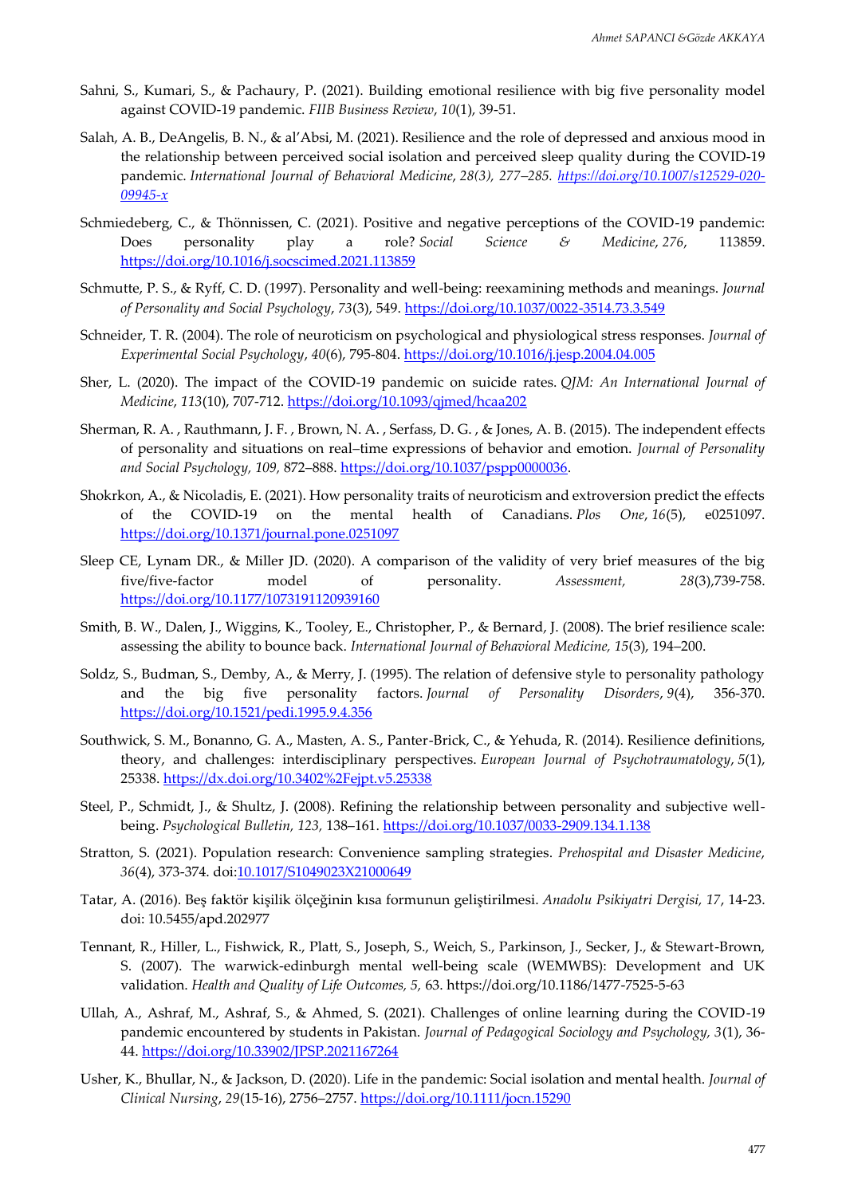- Sahni, S., Kumari, S., & Pachaury, P. (2021). Building emotional resilience with big five personality model against COVID-19 pandemic. *FIIB Business Review*, *10*(1), 39-51.
- Salah, A. B., DeAngelis, B. N., & al'Absi, M. (2021). Resilience and the role of depressed and anxious mood in the relationship between perceived social isolation and perceived sleep quality during the COVID-19 pandemic. *International Journal of Behavioral Medicine*, *28(3), 277–285. [https://doi.org/10.1007/s12529-020-](https://doi.org/10.1007/s12529-020-09945-x) [09945-x](https://doi.org/10.1007/s12529-020-09945-x)*
- Schmiedeberg, C., & Thönnissen, C. (2021). Positive and negative perceptions of the COVID-19 pandemic: Does personality play a role? *Social Science & Medicine*, *276*, 113859. <https://doi.org/10.1016/j.socscimed.2021.113859>
- Schmutte, P. S., & Ryff, C. D. (1997). Personality and well-being: reexamining methods and meanings. *Journal of Personality and Social Psychology*, *73*(3), 549. <https://doi.org/10.1037/0022-3514.73.3.549>
- Schneider, T. R. (2004). The role of neuroticism on psychological and physiological stress responses. *Journal of Experimental Social Psychology*, *40*(6), 795-804. <https://doi.org/10.1016/j.jesp.2004.04.005>
- Sher, L. (2020). The impact of the COVID-19 pandemic on suicide rates. *QJM: An International Journal of Medicine*, *113*(10), 707-712. <https://doi.org/10.1093/qjmed/hcaa202>
- Sherman, R. A. , Rauthmann, J. F. , Brown, N. A. , Serfass, D. G. , & Jones, A. B. (2015). The independent effects of personality and situations on real–time expressions of behavior and emotion. *Journal of Personality and Social Psychology, 109,* 872–888. [https://doi.org/10.1037/pspp0000036.](https://doi.org/10.1037/pspp0000036)
- Shokrkon, A., & Nicoladis, E. (2021). How personality traits of neuroticism and extroversion predict the effects of the COVID-19 on the mental health of Canadians. *Plos One*, *16*(5), e0251097. <https://doi.org/10.1371/journal.pone.0251097>
- Sleep CE, Lynam DR., & Miller JD. (2020). A comparison of the validity of very brief measures of the big five/five-factor model of personality. *Assessment, 28*(3),739-758. <https://doi.org/10.1177/1073191120939160>
- Smith, B. W., Dalen, J., Wiggins, K., Tooley, E., Christopher, P., & Bernard, J. (2008). The brief resilience scale: assessing the ability to bounce back. *International Journal of Behavioral Medicine, 15*(3), 194–200.
- Soldz, S., Budman, S., Demby, A., & Merry, J. (1995). The relation of defensive style to personality pathology and the big five personality factors. *Journal of Personality Disorders*, *9*(4), 356-370. <https://doi.org/10.1521/pedi.1995.9.4.356>
- Southwick, S. M., Bonanno, G. A., Masten, A. S., Panter-Brick, C., & Yehuda, R. (2014). Resilience definitions, theory, and challenges: interdisciplinary perspectives. *European Journal of Psychotraumatology*, *5*(1), 25338. <https://dx.doi.org/10.3402%2Fejpt.v5.25338>
- Steel, P., Schmidt, J., & Shultz, J. (2008). Refining the relationship between personality and subjective wellbeing. *Psychological Bulletin, 123,* 138–161. <https://doi.org/10.1037/0033-2909.134.1.138>
- Stratton, S. (2021). Population research: Convenience sampling strategies. *Prehospital and Disaster Medicine*, *36*(4), 373-374. doi:10.1017/S1049023X21000649
- Tatar, A. (2016). Beş faktör kişilik ölçeğinin kısa formunun geliştirilmesi. *Anadolu Psikiyatri Dergisi, 17*, 14-23. doi: 10.5455/apd.202977
- Tennant, R., Hiller, L., Fishwick, R., Platt, S., Joseph, S., Weich, S., Parkinson, J., Secker, J., & Stewart-Brown, S. (2007). The warwick-edinburgh mental well-being scale (WEMWBS): Development and UK validation. *Health and Quality of Life Outcomes, 5,* 63. https://doi.org/10.1186/1477-7525-5-63
- Ullah, A., Ashraf, M., Ashraf, S., & Ahmed, S. (2021). Challenges of online learning during the COVID-19 pandemic encountered by students in Pakistan. *Journal of Pedagogical Sociology and Psychology, 3*(1), 36- 44.<https://doi.org/10.33902/JPSP.2021167264>
- Usher, K., Bhullar, N., & Jackson, D. (2020). Life in the pandemic: Social isolation and mental health. *Journal of Clinical Nursing*, *29*(15-16), 2756–2757.<https://doi.org/10.1111/jocn.15290>